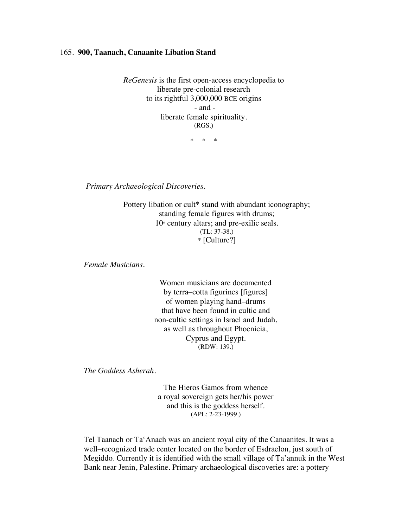## 165. **900, Taanach, Canaanite Libation Stand**

*ReGenesis* is the first open-access encyclopedia to liberate pre-colonial research to its rightful 3,000,000 BCE origins - and liberate female spirituality. (RGS.)

\* \* \*

*Primary Archaeological Discoveries.*

Pottery libation or cult\* stand with abundant iconography; standing female figures with drums;  $10<sup>th</sup>$  century altars; and pre-exilic seals. (TL: 37-38.) \* [Culture?]

*Female Musicians.*

Women musicians are documented by terra–cotta figurines [figures] of women playing hand–drums that have been found in cultic and non-cultic settings in Israel and Judah, as well as throughout Phoenicia, Cyprus and Egypt. (RDW: 139.)

*The Goddess Asherah.*

The Hieros Gamos from whence a royal sovereign gets her/his power and this is the goddess herself. (APL: 2-23-1999.)

Tel Taanach or Ta'Anach was an ancient royal city of the Canaanites. It was a well–recognized trade center located on the border of Esdraelon, just south of Megiddo. Currently it is identified with the small village of Ta'annuk in the West Bank near Jenin, Palestine. Primary archaeological discoveries are: a pottery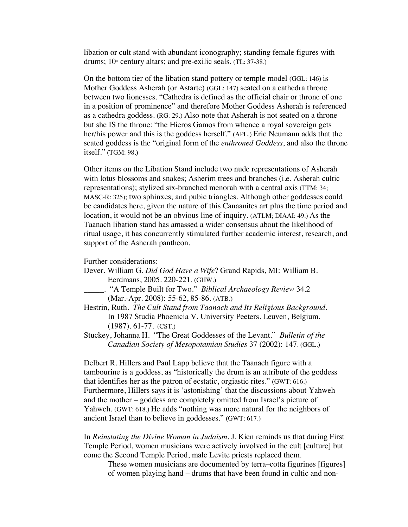libation or cult stand with abundant iconography; standing female figures with drums;  $10<sup>th</sup>$  century altars; and pre-exilic seals. (TL: 37-38.)

On the bottom tier of the libation stand pottery or temple model (GGL: 146) is Mother Goddess Asherah (or Astarte) (GGL: 147) seated on a cathedra throne between two lionesses. "Cathedra is defined as the official chair or throne of one in a position of prominence" and therefore Mother Goddess Asherah is referenced as a cathedra goddess. (RG: 29.) Also note that Asherah is not seated on a throne but she IS the throne: "the Hieros Gamos from whence a royal sovereign gets her/his power and this is the goddess herself." (APL.) Eric Neumann adds that the seated goddess is the "original form of the *enthroned Goddess*, and also the throne itself." (TGM: 98.)

Other items on the Libation Stand include two nude representations of Asherah with lotus blossoms and snakes; Asherim trees and branches (i.e. Asherah cultic representations); stylized six-branched menorah with a central axis (TTM: 34; MASC-R: 325); two sphinxes; and pubic triangles. Although other goddesses could be candidates here, given the nature of this Canaanites art plus the time period and location, it would not be an obvious line of inquiry. (ATLM; DIAAI: 49.) As the Taanach libation stand has amassed a wider consensus about the likelihood of ritual usage, it has concurrently stimulated further academic interest, research, and support of the Asherah pantheon.

Further considerations:

- Dever, William G. *Did God Have a Wife*? Grand Rapids, MI: William B. Eerdmans, 2005. 220-221. (GHW.)
- \_\_\_\_\_. "A Temple Built for Two." *Biblical Archaeology Review* 34.2 (Mar.-Apr. 2008): 55-62, 85-86. (ATB.)
- Hestrin, Ruth. *The Cult Stand from Taanach and Its Religious Background*. In 1987 Studia Phoenicia V. University Peeters. Leuven, Belgium. (1987). 61-77. (CST.)
- Stuckey, Johanna H. "The Great Goddesses of the Levant." *Bulletin of the Canadian Society of Mesopotamian Studies* 37 (2002): 147. (GGL.)

Delbert R. Hillers and Paul Lapp believe that the Taanach figure with a tambourine is a goddess, as "historically the drum is an attribute of the goddess that identifies her as the patron of ecstatic, orgiastic rites." (GWT: 616.) Furthermore, Hillers says it is 'astonishing' that the discussions about Yahweh and the mother – goddess are completely omitted from Israel's picture of Yahweh. (GWT: 618.) He adds "nothing was more natural for the neighbors of ancient Israel than to believe in goddesses." (GWT: 617.)

In *Reinstating the Divine Woman in Judaism*, J. Kien reminds us that during First Temple Period, women musicians were actively involved in the cult [culture] but come the Second Temple Period, male Levite priests replaced them.

These women musicians are documented by terra–cotta figurines [figures] of women playing hand – drums that have been found in cultic and non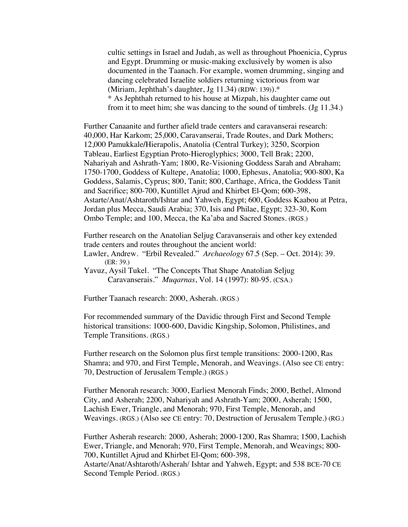cultic settings in Israel and Judah, as well as throughout Phoenicia, Cyprus and Egypt. Drumming or music-making exclusively by women is also documented in the Taanach. For example, women drumming, singing and dancing celebrated Israelite soldiers returning victorious from war (Miriam, Jephthah's daughter, Jg  $11.34$ ) (RDW: 139)).<sup>\*</sup>

\* As Jephthah returned to his house at Mizpah, his daughter came out from it to meet him; she was dancing to the sound of timbrels. (Jg 11.34.)

Further Canaanite and further afield trade centers and caravanserai research: 40,000, Har Karkom; 25,000, Caravanserai, Trade Routes, and Dark Mothers; 12,000 Pamukkale*/*Hierapolis, Anatolia (Central Turkey); 3250, Scorpion Tableau, Earliest Egyptian Proto-Hieroglyphics; 3000, Tell Brak; 2200, Nahariyah and Ashrath-Yam; 1800, Re-Visioning Goddess Sarah and Abraham; 1750-1700, Goddess of Kultepe, Anatolia; 1000, Ephesus, Anatolia; 900-800, Ka Goddess, Salamis, Cyprus; 800, Tanit; 800, Carthage, Africa, the Goddess Tanit and Sacrifice; 800-700, Kuntillet Ajrud and Khirbet El-Qom; 600-398, Astarte/Anat/Ashtaroth/Ishtar and Yahweh, Egypt; 600, Goddess Kaabou at Petra, Jordan plus Mecca, Saudi Arabia; 370, Isis and Philae, Egypt; 323-30, Kom Ombo Temple; and 100, Mecca, the Ka'aba and Sacred Stones. (RGS.)

Further research on the Anatolian Seljug Caravanserais and other key extended trade centers and routes throughout the ancient world:

Lawler, Andrew. "Erbil Revealed." *Archaeology* 67.5 (Sep. – Oct. 2014): 39. (ER: 39.)

Yavuz, Aysil Tukel. "The Concepts That Shape Anatolian Seljug Caravanserais." *Muqarnas*, Vol. 14 (1997): 80-95. (CSA.)

Further Taanach research: 2000, Asherah. (RGS.)

For recommended summary of the Davidic through First and Second Temple historical transitions: 1000-600, Davidic Kingship, Solomon, Philistines, and Temple Transitions. (RGS.)

Further research on the Solomon plus first temple transitions: 2000-1200, Ras Shamra; and 970, and First Temple, Menorah, and Weavings. (Also see CE entry: 70, Destruction of Jerusalem Temple.) (RGS.)

Further Menorah research: 3000, Earliest Menorah Finds; 2000, Bethel, Almond City, and Asherah; 2200, Nahariyah and Ashrath-Yam; 2000, Asherah; 1500, Lachish Ewer, Triangle, and Menorah; 970, First Temple, Menorah, and Weavings. (RGS.) (Also see CE entry: 70, Destruction of Jerusalem Temple.) (RG.)

Further Asherah research: 2000, Asherah; 2000-1200, Ras Shamra; 1500, Lachish Ewer, Triangle, and Menorah; 970, First Temple, Menorah, and Weavings; 800- 700, Kuntillet Ajrud and Khirbet El-Qom; 600-398, Astarte/Anat/Ashtaroth/Asherah/ Ishtar and Yahweh, Egypt; and 538 BCE-70 CE Second Temple Period. (RGS.)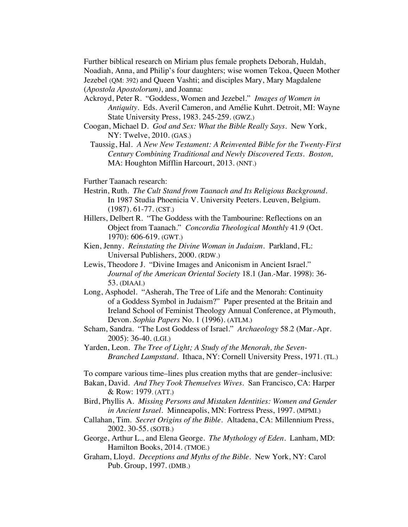Further biblical research on Miriam plus female prophets Deborah, Huldah, Noadiah, Anna, and Philip's four daughters; wise women Tekoa, Queen Mother Jezebel (QM: 392) and Queen Vashti; and disciples Mary, Mary Magdalene (*Apostola Apostolorum)*, and Joanna:

- Ackroyd, Peter R. "Goddess, Women and Jezebel." *Images of Women in Antiquity.* Eds. Averil Cameron, and Amélie Kuhrt. Detroit, MI: Wayne State University Press, 1983. 245-259. (GWZ.)
- Coogan, Michael D. *God and Sex: What the Bible Really Says*. New York, NY: Twelve, 2010. (GAS.)
	- Taussig, Hal. *A New New Testament: A Reinvented Bible for the Twenty-First Century Combining Traditional and Newly Discovered Texts. Boston,*  MA: Houghton Mifflin Harcourt, 2013. (NNT.)

Further Taanach research:

- Hestrin, Ruth. *The Cult Stand from Taanach and Its Religious Background*. In 1987 Studia Phoenicia V. University Peeters. Leuven, Belgium. (1987). 61-77. (CST.)
- Hillers, Delbert R. "The Goddess with the Tambourine: Reflections on an Object from Taanach." *Concordia Theological Monthly* 41.9 (Oct. 1970): 606-619. (GWT.)
- Kien, Jenny. *Reinstating the Divine Woman in Judaism.* Parkland, FL: Universal Publishers, 2000. (RDW.)
- Lewis, Theodore J. "Divine Images and Aniconism in Ancient Israel." *Journal of the American Oriental Society* 18.1 (Jan.-Mar. 1998): 36- 53. (DIAAI.)
- Long, Asphodel. "Asherah, The Tree of Life and the Menorah: Continuity of a Goddess Symbol in Judaism?" Paper presented at the Britain and Ireland School of Feminist Theology Annual Conference, at Plymouth, Devon. *Sophia Papers* No. 1 (1996). (ATLM.)
- Scham, Sandra. "The Lost Goddess of Israel." *Archaeology* 58.2 (Mar.-Apr. 2005): 36-40. (LGI.)
- Yarden, Leon. *The Tree of Light; A Study of the Menorah, the Seven-Branched Lampstand*. Ithaca, NY: Cornell University Press, 1971. (TL.)

To compare various time–lines plus creation myths that are gender–inclusive:

- Bakan, David. *And They Took Themselves Wives*. San Francisco, CA: Harper & Row: 1979. (ATT.)
- Bird, Phyllis A. *Missing Persons and Mistaken Identities: Women and Gender in Ancient Israel.* Minneapolis, MN: Fortress Press, 1997. (MPMI.)
- Callahan, Tim. *Secret Origins of the Bible.* Altadena, CA: Millennium Press, 2002. 30-55. (SOTB.)
- George, Arthur L., and Elena George. *The Mythology of Eden*. Lanham, MD: Hamilton Books, 2014. (TMOE.)
- Graham, Lloyd. *Deceptions and Myths of the Bible*. New York, NY: Carol Pub. Group, 1997. (DMB.)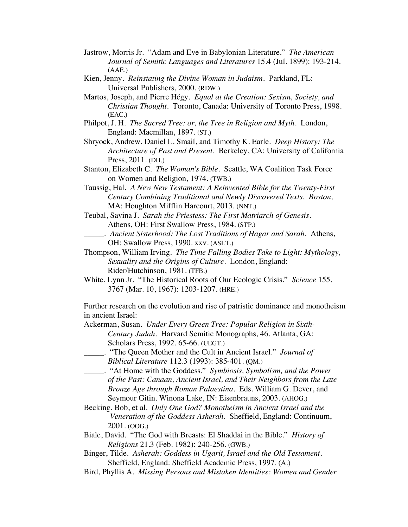- Jastrow, Morris Jr. "Adam and Eve in Babylonian Literature." *The American Journal of Semitic Languages and Literatures* 15.4 (Jul. 1899): 193-214. (AAE.)
- Kien, Jenny. *Reinstating the Divine Woman in Judaism.* Parkland, FL: Universal Publishers, 2000. (RDW.)
- Martos, Joseph, and Pierre Hégy. *Equal at the Creation: Sexism, Society, and Christian Thought*. Toronto, Canada: University of Toronto Press, 1998. (EAC.)
- Philpot, J. H. *The Sacred Tree: or, the Tree in Religion and Myth*. London, England: Macmillan, 1897. (ST.)
- Shryock, Andrew, Daniel L. Smail, and Timothy K. Earle. *Deep History: The Architecture of Past and Present*. Berkeley, CA: University of California Press, 2011. (DH.)
- Stanton, Elizabeth C. *The Woman's Bible*. Seattle, WA Coalition Task Force on Women and Religion, 1974. (TWB.)
- Taussig, Hal. *A New New Testament: A Reinvented Bible for the Twenty-First Century Combining Traditional and Newly Discovered Texts. Boston,*  MA: Houghton Mifflin Harcourt, 2013. (NNT.)
- Teubal, Savina J. *Sarah the Priestess: The First Matriarch of Genesis*. Athens, OH: First Swallow Press, 1984. (STP.)
	- \_\_\_\_\_. *Ancient Sisterhood: The Lost Traditions of Hagar and Sarah*. Athens, OH: Swallow Press, 1990. xxv. (ASLT.)
- Thompson, William Irving. *The Time Falling Bodies Take to Light: Mythology, Sexuality and the Origins of Culture.* London, England: Rider/Hutchinson, 1981. (TFB.)
- White, Lynn Jr. "The Historical Roots of Our Ecologic Crisis." *Science* 155. 3767 (Mar. 10, 1967): 1203-1207. (HRE.)

Further research on the evolution and rise of patristic dominance and monotheism in ancient Israel:

Ackerman, Susan. *Under Every Green Tree: Popular Religion in Sixth-Century Judah*. Harvard Semitic Monographs, 46. Atlanta, GA: Scholars Press, 1992. 65-66. (UEGT.)

- \_\_\_\_\_. "The Queen Mother and the Cult in Ancient Israel." *Journal of Biblical Literature* 112.3 (1993): 385-401. (QM.)
- \_\_\_\_\_. "At Home with the Goddess." *Symbiosis, Symbolism, and the Power of the Past: Canaan, Ancient Israel, and Their Neighbors from the Late Bronze Age through Roman Palaestina.* Eds. William G. Dever, and Seymour Gitin. Winona Lake, IN: Eisenbrauns, 2003. (AHOG.)
- Becking, Bob, et al. *Only One God? Monotheism in Ancient Israel and the Veneration of the Goddess Asherah.* Sheffield, England: Continuum, 2001. (OOG.)
- Biale, David. "The God with Breasts: El Shaddai in the Bible." *History of Religions* 21.3 (Feb. 1982): 240-256. (GWB.)
- Binger, Tilde. *Asherah: Goddess in Ugarit, Israel and the Old Testament.* Sheffield, England: Sheffield Academic Press, 1997. (A.)
- Bird, Phyllis A. *Missing Persons and Mistaken Identities: Women and Gender*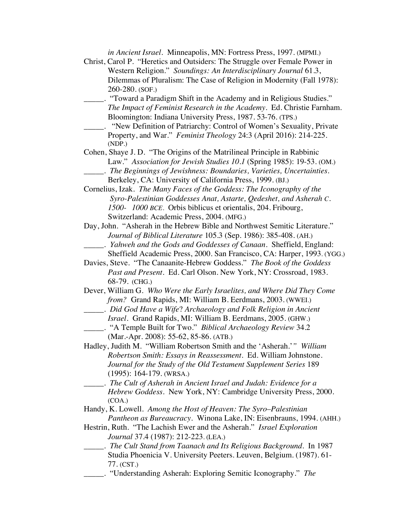| in Ancient Israel. Minneapolis, MN: Fortress Press, 1997. (MPMI.)           |
|-----------------------------------------------------------------------------|
| Christ, Carol P. "Heretics and Outsiders: The Struggle over Female Power in |
| Western Religion." Soundings: An Interdisciplinary Journal 61.3,            |
| Dilemmas of Pluralism: The Case of Religion in Modernity (Fall 1978):       |
| 260-280. (SOF.)                                                             |
|                                                                             |
| "Toward a Paradigm Shift in the Academy and in Religious Studies."          |
| The Impact of Feminist Research in the Academy. Ed. Christie Farnham.       |
| Bloomington: Indiana University Press, 1987. 53-76. (TPS.)                  |
| "New Definition of Patriarchy: Control of Women's Sexuality, Private        |
| Property, and War." Feminist Theology 24:3 (April 2016): 214-225.           |
| (NDP.)                                                                      |
| Cohen, Shaye J. D. "The Origins of the Matrilineal Principle in Rabbinic    |
| Law." Association for Jewish Studies 10.1 (Spring 1985): 19-53. (OM.)       |
| _. The Beginnings of Jewishness: Boundaries, Varieties, Uncertainties.      |
| Berkeley, CA: University of California Press, 1999. (BJ.)                   |
| Cornelius, Izak. The Many Faces of the Goddess: The Iconography of the      |
| Syro-Palestinian Goddesses Anat, Astarte, Qedeshet, and Asherah C.          |
| 1500- 1000 BCE. Orbis biblicus et orientalis, 204. Fribourg,                |
| Switzerland: Academic Press, 2004. (MFG.)                                   |
| Day, John. "Asherah in the Hebrew Bible and Northwest Semitic Literature."  |
|                                                                             |
| Journal of Biblical Literature 105.3 (Sep. 1986): 385-408. (AH.)            |
| . Yahweh and the Gods and Goddesses of Canaan. Sheffield, England:          |
| Sheffield Academic Press, 2000. San Francisco, CA: Harper, 1993. (YGG.)     |
| Davies, Steve. "The Canaanite-Hebrew Goddess." The Book of the Goddess      |
| Past and Present. Ed. Carl Olson. New York, NY: Crossroad, 1983.            |
| 68-79. (CHG.)                                                               |
| Dever, William G. Who Were the Early Israelites, and Where Did They Come    |
| from? Grand Rapids, MI: William B. Eerdmans, 2003. (WWEI.)                  |
| . Did God Have a Wife? Archaeology and Folk Religion in Ancient             |
| Israel. Grand Rapids, MI: William B. Eerdmans, 2005. (GHW.)                 |
| $\Box$ . "A Temple Built for Two." <i>Biblical Archaeology Review</i> 34.2  |
| (Mar.-Apr. 2008): 55-62, 85-86. (ATB.)                                      |
| Hadley, Judith M. "William Robertson Smith and the 'Asherah.'" William      |
| Robertson Smith: Essays in Reassessment. Ed. William Johnstone.             |
|                                                                             |
| Journal for the Study of the Old Testament Supplement Series 189            |
| $(1995): 164-179. (WRSA.)$                                                  |
| _____. The Cult of Asherah in Ancient Israel and Judah: Evidence for a      |
| Hebrew Goddess. New York, NY: Cambridge University Press, 2000.             |
| (COA.)                                                                      |
| Handy, K. Lowell. Among the Host of Heaven: The Syro-Palestinian            |
| Pantheon as Bureaucracy. Winona Lake, IN: Eisenbrauns, 1994. (AHH.)         |
| Hestrin, Ruth. "The Lachish Ewer and the Asherah." Israel Exploration       |
| Journal 37.4 (1987): 212-223. (LEA.)                                        |
| _. The Cult Stand from Taanach and Its Religious Background. In 1987        |
| Studia Phoenicia V. University Peeters. Leuven, Belgium. (1987). 61-        |
| 77. (CST.)                                                                  |
| "Understanding Asherah: Exploring Semitic Iconography." The                 |
|                                                                             |
|                                                                             |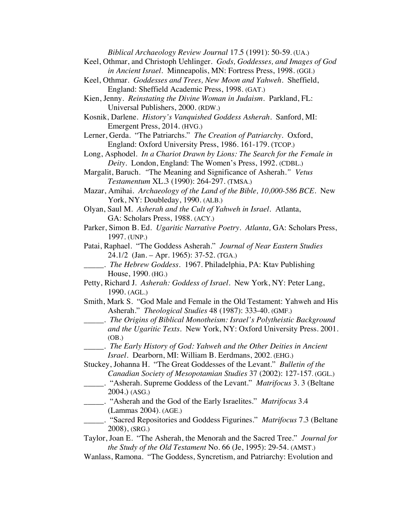*Biblical Archaeology Review Journal* 17.5 (1991): 50-59. (UA.)

- Keel, Othmar, and Christoph Uehlinger. *Gods, Goddesses, and Images of God in Ancient Israel.* Minneapolis, MN: Fortress Press, 1998. (GGI.)
- Keel, Othmar. *Goddesses and Trees, New Moon and Yahweh*. Sheffield, England: Sheffield Academic Press, 1998. (GAT.)
- Kien, Jenny. *Reinstating the Divine Woman in Judaism.* Parkland, FL: Universal Publishers, 2000. (RDW.)
- Kosnik, Darlene. *History's Vanquished Goddess Asherah*. Sanford, MI: Emergent Press, 2014. (HVG.)
- Lerner, Gerda. "The Patriarchs." *The Creation of Patriarchy.* Oxford, England: Oxford University Press, 1986. 161-179. (TCOP.)
- Long, Asphodel. *In a Chariot Drawn by Lions: The Search for the Female in Deity.* London, England: The Women's Press, 1992. (CDBL.)
- Margalit, Baruch. *"*The Meaning and Significance of Asherah.*" Vetus Testamentum* XL.3 (1990): 264-297. (TMSA.)
- Mazar, Amihai. *Archaeology of the Land of the Bible, 10,000-586 BCE.* New York, NY: Doubleday, 1990. (ALB.)
- Olyan, Saul M. *Asherah and the Cult of Yahweh in Israel.* Atlanta, GA: Scholars Press, 1988. (ACY.)
- Parker, Simon B. Ed. *Ugaritic Narrative Poetry. Atlanta,* GA: Scholars Press, 1997. (UNP.)
- Patai, Raphael. "The Goddess Asherah." *Journal of Near Eastern Studies* 24.1/2 (Jan. – Apr. 1965): 37-52. (TGA.)
- \_\_\_\_\_. *The Hebrew Goddess.* 1967. Philadelphia, PA: Ktav Publishing House, 1990. (HG.)
- Petty, Richard J*. Asherah: Goddess of Israel*. New York, NY: Peter Lang, 1990. (AGL.)
- Smith, Mark S. "God Male and Female in the Old Testament: Yahweh and His Asherah." *Theological Studies* 48 (1987): 333-40. (GMF.)
- \_\_\_\_\_. *The Origins of Biblical Monotheism: Israel's Polytheistic Background and the Ugaritic Texts.* New York, NY: Oxford University Press. 2001. (OB.)
- \_\_\_\_\_. *The Early History of God: Yahweh and the Other Deities in Ancient Israel.* Dearborn, MI: William B. Eerdmans, 2002. (EHG.)

Stuckey, Johanna H. "The Great Goddesses of the Levant." *Bulletin of the Canadian Society of Mesopotamian Studies* 37 (2002): 127-157. (GGL.)

- \_\_\_\_\_. "Asherah. Supreme Goddess of the Levant." *Matrifocus* 3. 3 (Beltane 2004.) (ASG.)
- \_\_\_\_\_. "Asherah and the God of the Early Israelites." *Matrifocus* 3.4 (Lammas 2004). (AGE.)
- \_\_\_\_\_. "Sacred Repositories and Goddess Figurines." *Matrifocus* 7.3 (Beltane 2008), (SRG.)

Taylor, Joan E. "The Asherah, the Menorah and the Sacred Tree." *Journal for the Study of the Old Testament* No. 66 (Je, 1995): 29-54. (AMST.)

Wanlass, Ramona. "The Goddess, Syncretism, and Patriarchy: Evolution and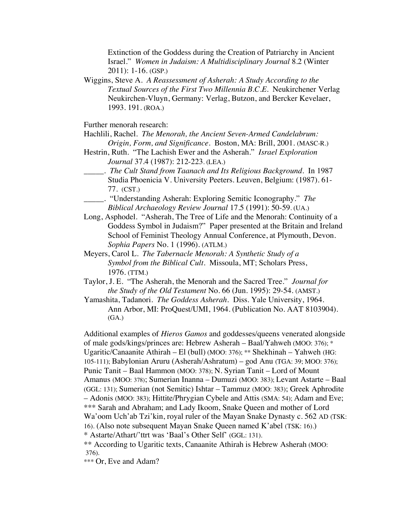Extinction of the Goddess during the Creation of Patriarchy in Ancient Israel." *Women in Judaism: A Multidisciplinary Journal* 8.2 (Winter 2011): 1-16. (GSP.)

Wiggins, Steve A. *A Reassessment of Asherah: A Study According to the Textual Sources of the First Two Millennia B.C.E.* Neukirchener Verlag Neukirchen-Vluyn, Germany: Verlag, Butzon, and Bercker Kevelaer, 1993. 191. (ROA.)

Further menorah research:

Hachlili, Rachel. *The Menorah, the Ancient Seven-Armed Candelabrum: Origin, Form, and Significance.* Boston, MA: Brill, 2001. (MASC-R.)

- Hestrin, Ruth. "The Lachish Ewer and the Asherah." *Israel Exploration Journal* 37.4 (1987): 212-223. (LEA.)
- \_\_\_\_\_. *The Cult Stand from Taanach and Its Religious Background*. In 1987 Studia Phoenicia V. University Peeters. Leuven, Belgium: (1987). 61- 77. (CST.)
- \_\_\_\_\_. "Understanding Asherah: Exploring Semitic Iconography." *The Biblical Archaeology Review Journal* 17.5 (1991): 50-59. (UA.)
- Long, Asphodel. "Asherah, The Tree of Life and the Menorah: Continuity of a Goddess Symbol in Judaism?" Paper presented at the Britain and Ireland School of Feminist Theology Annual Conference, at Plymouth, Devon. *Sophia Papers* No. 1 (1996). (ATLM.)
- Meyers, Carol L. *The Tabernacle Menorah: A Synthetic Study of a Symbol from the Biblical Cult*. Missoula, MT; Scholars Press, 1976. (TTM.)
- Taylor, J. E. "The Asherah, the Menorah and the Sacred Tree." *Journal for the Study of the Old Testament* No. 66 (Jun. 1995): 29-54. (AMST.)
- Yamashita, Tadanori. *The Goddess Asherah.* Diss. Yale University, 1964. Ann Arbor, MI: ProQuest/UMI, 1964. (Publication No. AAT 8103904). (GA.)

Additional examples of *Hieros Gamos* and goddesses/queens venerated alongside of male gods/kings/princes are: Hebrew Asherah – Baal/Yahweh (MOO: 376); \* Ugaritic/Canaanite Athirah – El (bull) (MOO: 376); \*\* Shekhinah – Yahweh (HG: 105-111); Babylonian Aruru (Asherah/Ashratum) – god Anu (TGA: 39; MOO: 376); Punic Tanit – Baal Hammon (MOO: 378); N. Syrian Tanit – Lord of Mount Amanus (MOO: 378); Sumerian Inanna – Dumuzi (MOO: 383); Levant Astarte – Baal (GGL: 131); Sumerian (not Semitic) Ishtar – Tammuz (MOO: 383); Greek Aphrodite – Adonis (MOO: 383); Hittite/Phrygian Cybele and Attis (SMA: 54); Adam and Eve; \*\*\* Sarah and Abraham; and Lady Ikoom, Snake Queen and mother of Lord Wa'oom Uch'ab Tzi'kin, royal ruler of the Mayan Snake Dynasty c. 562 AD (TSK: 16). (Also note subsequent Mayan Snake Queen named K'abel (TSK: 16).) \* Astarte/Athart/'ttrt was 'Baal's Other Self' (GGL: 131).

\*\* According to Ugaritic texts, Canaanite Athirah is Hebrew Asherah (MOO: 376).

\*\*\* Or, Eve and Adam?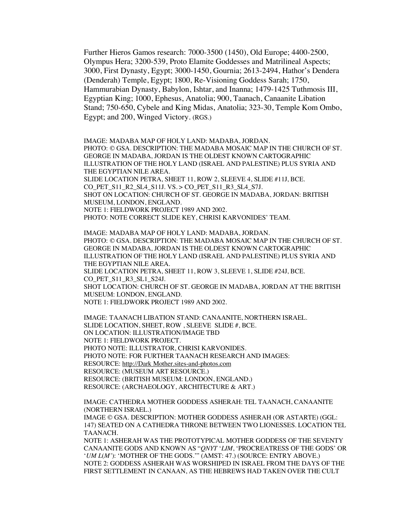Further Hieros Gamos research: 7000-3500 (1450), Old Europe; 4400-2500, Olympus Hera; 3200-539, Proto Elamite Goddesses and Matrilineal Aspects; 3000, First Dynasty, Egypt; 3000-1450, Gournia; 2613-2494, Hathor's Dendera (Denderah) Temple, Egypt; 1800, Re-Visioning Goddess Sarah; 1750, Hammurabian Dynasty, Babylon, Ishtar, and Inanna; 1479-1425 Tuthmosis III, Egyptian King; 1000, Ephesus, Anatolia; 900, Taanach, Canaanite Libation Stand; 750-650, Cybele and King Midas, Anatolia; 323-30, Temple Kom Ombo, Egypt; and 200, Winged Victory. (RGS.)

IMAGE: MADABA MAP OF HOLY LAND: MADABA, JORDAN. PHOTO: © GSA. DESCRIPTION: THE MADABA MOSAIC MAP IN THE CHURCH OF ST. GEORGE IN MADABA, JORDAN IS THE OLDEST KNOWN CARTOGRAPHIC ILLUSTRATION OF THE HOLY LAND (ISRAEL AND PALESTINE) PLUS SYRIA AND THE EGYPTIAN NILE AREA. SLIDE LOCATION PETRA, SHEET 11, ROW 2, SLEEVE 4, SLIDE #11J, BCE. CO\_PET\_S11\_R2\_SL4\_S11J. VS. > CO\_PET\_S11\_R3\_SL4\_S7J. SHOT ON LOCATION: CHURCH OF ST. GEORGE IN MADABA, JORDAN: BRITISH MUSEUM, LONDON, ENGLAND. NOTE 1: FIELDWORK PROJECT 1989 AND 2002. PHOTO: NOTE CORRECT SLIDE KEY, CHRISI KARVONIDES' TEAM.

IMAGE: MADABA MAP OF HOLY LAND: MADABA, JORDAN. PHOTO: © GSA. DESCRIPTION: THE MADABA MOSAIC MAP IN THE CHURCH OF ST. GEORGE IN MADABA, JORDAN IS THE OLDEST KNOWN CARTOGRAPHIC ILLUSTRATION OF THE HOLY LAND (ISRAEL AND PALESTINE) PLUS SYRIA AND THE EGYPTIAN NILE AREA. SLIDE LOCATION PETRA, SHEET 11, ROW 3, SLEEVE 1, SLIDE #24J, BCE. CO PET S11 R3 SL1 S24J. SHOT LOCATION: CHURCH OF ST. GEORGE IN MADABA, JORDAN AT THE BRITISH MUSEUM: LONDON, ENGLAND. NOTE 1: FIELDWORK PROJECT 1989 AND 2002.

IMAGE: TAANACH LIBATION STAND: CANAANITE, NORTHERN ISRAEL. SLIDE LOCATION, SHEET, ROW , SLEEVE SLIDE #, BCE. ON LOCATION: ILLUSTRATION/IMAGE TBD NOTE 1: FIELDWORK PROJECT. PHOTO NOTE: ILLUSTRATOR, CHRISI KARVONIDES. PHOTO NOTE: FOR FURTHER TAANACH RESEARCH AND IMAGES: RESOURCE: http://Dark Mother.sites-and-photos.com RESOURCE: (MUSEUM ART RESOURCE.) RESOURCE: (BRITISH MUSEUM: LONDON, ENGLAND.) RESOURCE: (ARCHAEOLOGY, ARCHITECTURE & ART.)

IMAGE: CATHEDRA MOTHER GODDESS ASHERAH: TEL TAANACH, CANAANITE (NORTHERN ISRAEL.)

IMAGE © GSA. DESCRIPTION: MOTHER GODDESS ASHERAH (OR ASTARTE) (GGL: 147) SEATED ON A CATHEDRA THRONE BETWEEN TWO LIONESSES. LOCATION TEL TAANACH.

NOTE 1: ASHERAH WAS THE PROTOTYPICAL MOTHER GODDESS OF THE SEVENTY CANAANITE GODS AND KNOWN AS "*QNYT* '*LIM*, 'PROCREATRESS OF THE GODS' OR '*UM L*(*M'*): 'MOTHER OF THE GODS.'" (AMST: 47.) (SOURCE: ENTRY ABOVE.) NOTE 2: GODDESS ASHERAH WAS WORSHIPED IN ISRAEL FROM THE DAYS OF THE FIRST SETTLEMENT IN CANAAN, AS THE HEBREWS HAD TAKEN OVER THE CULT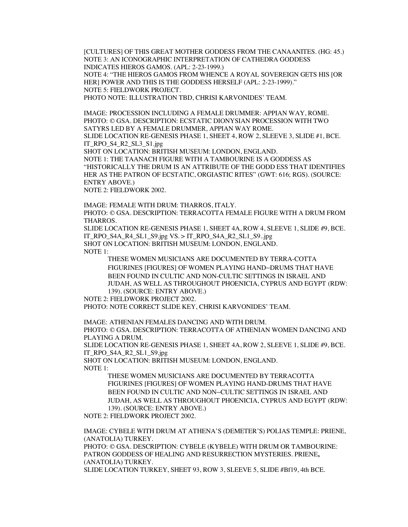[CULTURES] OF THIS GREAT MOTHER GODDESS FROM THE CANAANITES. (HG: 45.) NOTE 3: AN ICONOGRAPHIC INTERPRETATION OF CATHEDRA GODDESS INDICATES HIEROS GAMOS. (APL: 2-23-1999.) NOTE 4: "THE HIEROS GAMOS FROM WHENCE A ROYAL SOVEREIGN GETS HIS [OR HER] POWER AND THIS IS THE GODDESS HERSELF (APL: 2-23-1999)." NOTE 5: FIELDWORK PROJECT. PHOTO NOTE: ILLUSTRATION TBD, CHRISI KARVONIDES' TEAM.

IMAGE: PROCESSION INCLUDING A FEMALE DRUMMER: APPIAN WAY, ROME. PHOTO: © GSA. DESCRIPTION: ECSTATIC DIONYSIAN PROCESSION WITH TWO SATYRS LED BY A FEMALE DRUMMER, APPIAN WAY ROME. SLIDE LOCATION RE-GENESIS PHASE 1, SHEET 4, ROW 2, SLEEVE 3, SLIDE #1, BCE. IT\_RPO\_S4\_R2\_SL3\_S1.jpg SHOT ON LOCATION: BRITISH MUSEUM: LONDON, ENGLAND. NOTE 1: THE TAANACH FIGURE WITH A TAMBOURINE IS A GODDESS AS "HISTORICALLY THE DRUM IS AN ATTRIBUTE OF THE GODD ESS THAT IDENTIFIES HER AS THE PATRON OF ECSTATIC, ORGIASTIC RITES" (GWT: 616; RGS). (SOURCE: ENTRY ABOVE.) NOTE 2: FIELDWORK 2002.

IMAGE: FEMALE WITH DRUM: THARROS, ITALY. PHOTO: © GSA. DESCRIPTION: TERRACOTTA FEMALE FIGURE WITH A DRUM FROM THARROS.

SLIDE LOCATION RE-GENESIS PHASE 1, SHEET 4A, ROW 4, SLEEVE 1, SLIDE #9, BCE. IT\_RPO\_S4A\_R4\_SL1\_S9.jpg VS. > IT\_RPO\_S4A\_R2\_SL1\_S9..jpg SHOT ON LOCATION: BRITISH MUSEUM: LONDON, ENGLAND. NOTE 1:

THESE WOMEN MUSICIANS ARE DOCUMENTED BY TERRA-COTTA FIGURINES [FIGURES] OF WOMEN PLAYING HAND–DRUMS THAT HAVE BEEN FOUND IN CULTIC AND NON-CULTIC SETTINGS IN ISRAEL AND JUDAH, AS WELL AS THROUGHOUT PHOENICIA, CYPRUS AND EGYPT (RDW: 139). (SOURCE: ENTRY ABOVE.)

NOTE 2: FIELDWORK PROJECT 2002.

PHOTO: NOTE CORRECT SLIDE KEY, CHRISI KARVONIDES' TEAM.

IMAGE: ATHENIAN FEMALES DANCING AND WITH DRUM.

PHOTO: © GSA. DESCRIPTION: TERRACOTTA OF ATHENIAN WOMEN DANCING AND PLAYING A DRUM.

SLIDE LOCATION RE-GENESIS PHASE 1, SHEET 4A, ROW 2, SLEEVE 1, SLIDE #9, BCE. IT\_RPO\_S4A\_R2\_SL1\_S9.jpg

SHOT ON LOCATION: BRITISH MUSEUM: LONDON, ENGLAND.

NOTE 1:

THESE WOMEN MUSICIANS ARE DOCUMENTED BY TERRACOTTA FIGURINES [FIGURES] OF WOMEN PLAYING HAND-DRUMS THAT HAVE BEEN FOUND IN CULTIC AND NON–CULTIC SETTINGS IN ISRAEL AND JUDAH, AS WELL AS THROUGHOUT PHOENICIA, CYPRUS AND EGYPT (RDW: 139). (SOURCE: ENTRY ABOVE.)

NOTE 2: FIELDWORK PROJECT 2002.

IMAGE: CYBELE WITH DRUM AT ATHENA'S (DEMETER'S) POLIAS TEMPLE: PRIENE, (ANATOLIA) TURKEY.

PHOTO: © GSA. DESCRIPTION: CYBELE (KYBELE) WITH DRUM OR TAMBOURINE: PATRON GODDESS OF HEALING AND RESURRECTION MYSTERIES. PRIENE**,** (ANATOLIA) TURKEY.

SLIDE LOCATION TURKEY, SHEET 93, ROW 3, SLEEVE 5, SLIDE #Bf19, 4th BCE.